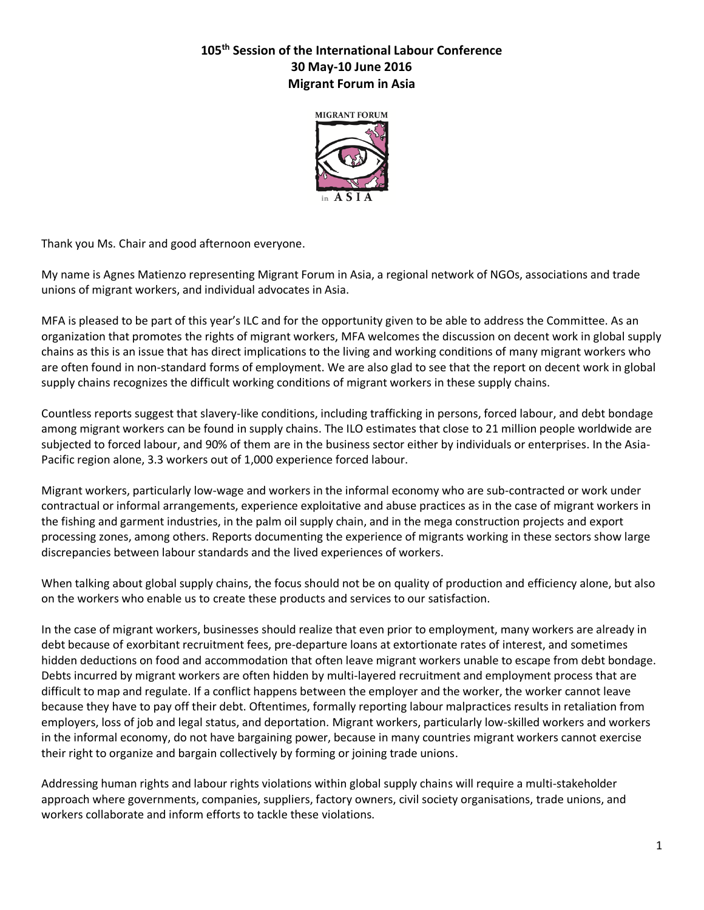## **105th Session of the International Labour Conference 30 May-10 June 2016 Migrant Forum in Asia**



Thank you Ms. Chair and good afternoon everyone.

My name is Agnes Matienzo representing Migrant Forum in Asia, a regional network of NGOs, associations and trade unions of migrant workers, and individual advocates in Asia.

MFA is pleased to be part of this year's ILC and for the opportunity given to be able to address the Committee. As an organization that promotes the rights of migrant workers, MFA welcomes the discussion on decent work in global supply chains as this is an issue that has direct implications to the living and working conditions of many migrant workers who are often found in non-standard forms of employment. We are also glad to see that the report on decent work in global supply chains recognizes the difficult working conditions of migrant workers in these supply chains.

Countless reports suggest that slavery-like conditions, including trafficking in persons, forced labour, and debt bondage among migrant workers can be found in supply chains. The ILO estimates that close to 21 million people worldwide are subjected to forced labour, and 90% of them are in the business sector either by individuals or enterprises. In the Asia-Pacific region alone, 3.3 workers out of 1,000 experience forced labour.

Migrant workers, particularly low-wage and workers in the informal economy who are sub-contracted or work under contractual or informal arrangements, experience exploitative and abuse practices as in the case of migrant workers in the fishing and garment industries, in the palm oil supply chain, and in the mega construction projects and export processing zones, among others. Reports documenting the experience of migrants working in these sectors show large discrepancies between labour standards and the lived experiences of workers.

When talking about global supply chains, the focus should not be on quality of production and efficiency alone, but also on the workers who enable us to create these products and services to our satisfaction.

In the case of migrant workers, businesses should realize that even prior to employment, many workers are already in debt because of exorbitant recruitment fees, pre-departure loans at extortionate rates of interest, and sometimes hidden deductions on food and accommodation that often leave migrant workers unable to escape from debt bondage. Debts incurred by migrant workers are often hidden by multi-layered recruitment and employment process that are difficult to map and regulate. If a conflict happens between the employer and the worker, the worker cannot leave because they have to pay off their debt. Oftentimes, formally reporting labour malpractices results in retaliation from employers, loss of job and legal status, and deportation. Migrant workers, particularly low-skilled workers and workers in the informal economy, do not have bargaining power, because in many countries migrant workers cannot exercise their right to organize and bargain collectively by forming or joining trade unions.

Addressing human rights and labour rights violations within global supply chains will require a multi-stakeholder approach where governments, companies, suppliers, factory owners, civil society organisations, trade unions, and workers collaborate and inform efforts to tackle these violations.